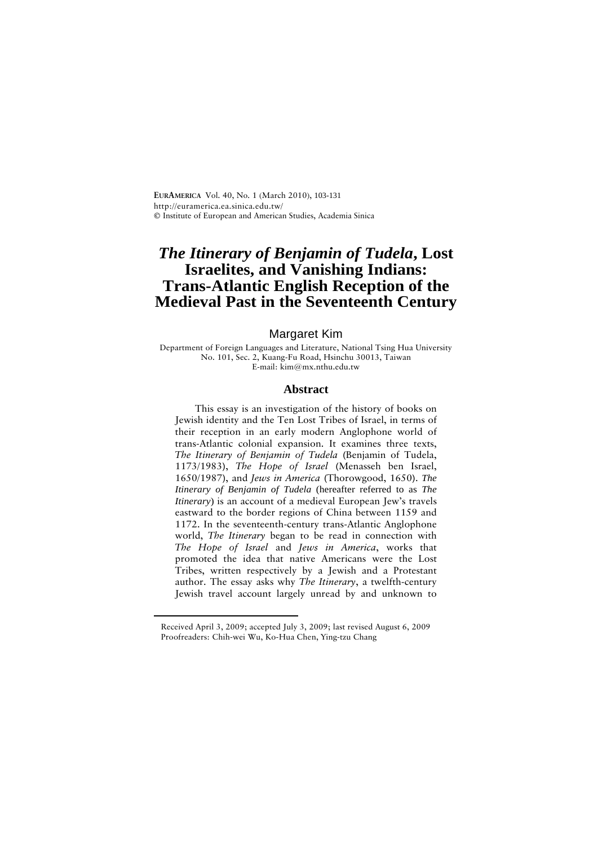**EURAMERICA** Vol. 40, No. 1 (March 2010), 103-131 <http://euramerica.ea.sinica.edu.tw/> **©** Institute of European and American Studies, Academia Sinica

# *The Itinerary of Benjamin of Tudela***, Lost Israelites, and Vanishing Indians: Trans-Atlantic English Reception of the Medieval Past in the [S](#page-0-0)eventeenth Century**

## Margaret Kim

Department of Foreign Languages and Literature, National Tsing Hua University No. 101, Sec. 2, Kuang-Fu Road, Hsinchu 30013, Taiwan E-mail: [kim@mx.nthu.edu.tw](mailto:kim@mx.nthu.edu.tw)

## **Abstract**

This essay is an investigation of the history of books on Jewish identity and the Ten Lost Tribes of Israel, in terms of their reception in an early modern Anglophone world of trans-Atlantic colonial expansion. It examines three texts, *The Itinerary of Benjamin of Tudela* (Benjamin of Tudela, 1173/1983), *The Hope of Israel* (Menasseh ben Israel, 1650/1987), and *Jews in America* (Thorowgood, 1650). *The Itinerary of Benjamin of Tudela* (hereafter referred to as *The Itinerary*) is an account of a medieval European Jew's travels eastward to the border regions of China between 1159 and 1172. In the seventeenth-century trans-Atlantic Anglophone world, *The Itinerary* began to be read in connection with *The Hope of Israel* and *Jews in America*, works that promoted the idea that native Americans were the Lost Tribes, written respectively by a Jewish and a Protestant author. The essay asks why *The Itinerary*, a twelfth-century Jewish travel account largely unread by and unknown to

<span id="page-0-0"></span> $\overline{a}$ 

Received April 3, 2009; accepted July 3, 2009; last revised August 6, 2009 Proofreaders: Chih-wei Wu, Ko-Hua Chen, Ying-tzu Chang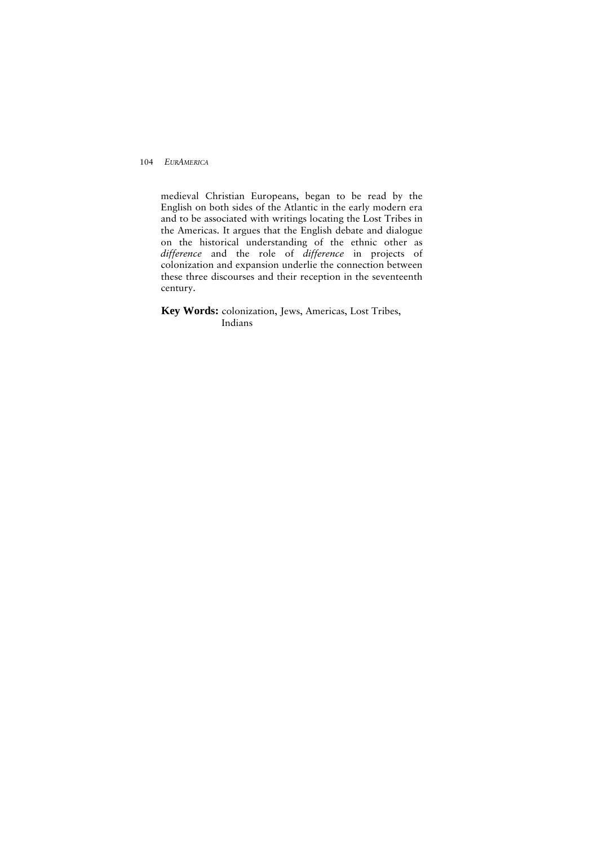medieval Christian Europeans, began to be read by the English on both sides of the Atlantic in the early modern era and to be associated with writings locating the Lost Tribes in the Americas. It argues that the English debate and dialogue on the historical understanding of the ethnic other as *difference* and the role of *difference* in projects of colonization and expansion underlie the connection between these three discourses and their reception in the seventeenth century.

**Key Words:** colonization, Jews, Americas, Lost Tribes, Indians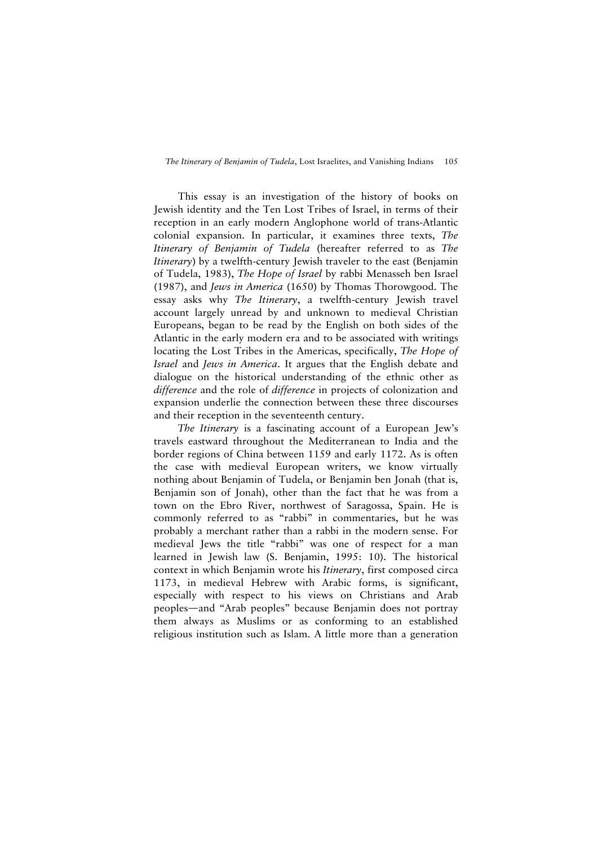This essay is an investigation of the history of books on Jewish identity and the Ten Lost Tribes of Israel, in terms of their reception in an early modern Anglophone world of trans-Atlantic colonial expansion. In particular, it examines three texts, *The Itinerary of Benjamin of Tudela* (hereafter referred to as *The Itinerary*) by a twelfth-century Jewish traveler to the east (Benjamin of Tudela, 1983), *The Hope of Israel* by rabbi Menasseh ben Israel (1987), and *Jews in America* (1650) by Thomas Thorowgood. The essay asks why *The Itinerary*, a twelfth-century Jewish travel account largely unread by and unknown to medieval Christian Europeans, began to be read by the English on both sides of the Atlantic in the early modern era and to be associated with writings locating the Lost Tribes in the Americas, specifically, *The Hope of Israel* and *Jews in America*. It argues that the English debate and dialogue on the historical understanding of the ethnic other as *difference* and the role of *difference* in projects of colonization and expansion underlie the connection between these three discourses and their reception in the seventeenth century.

*The Itinerary* is a fascinating account of a European Jew's travels eastward throughout the Mediterranean to India and the border regions of China between 1159 and early 1172. As is often the case with medieval European writers, we know virtually nothing about Benjamin of Tudela, or Benjamin ben Jonah (that is, Benjamin son of Jonah), other than the fact that he was from a town on the Ebro River, northwest of Saragossa, Spain. He is commonly referred to as "rabbi" in commentaries, but he was probably a merchant rather than a rabbi in the modern sense. For medieval Jews the title "rabbi" was one of respect for a man learned in Jewish law (S. Benjamin, 1995: 10). The historical context in which Benjamin wrote his *Itinerary*, first composed circa 1173, in medieval Hebrew with Arabic forms, is significant, especially with respect to his views on Christians and Arab peoples—and "Arab peoples" because Benjamin does not portray them always as Muslims or as conforming to an established religious institution such as Islam. A little more than a generation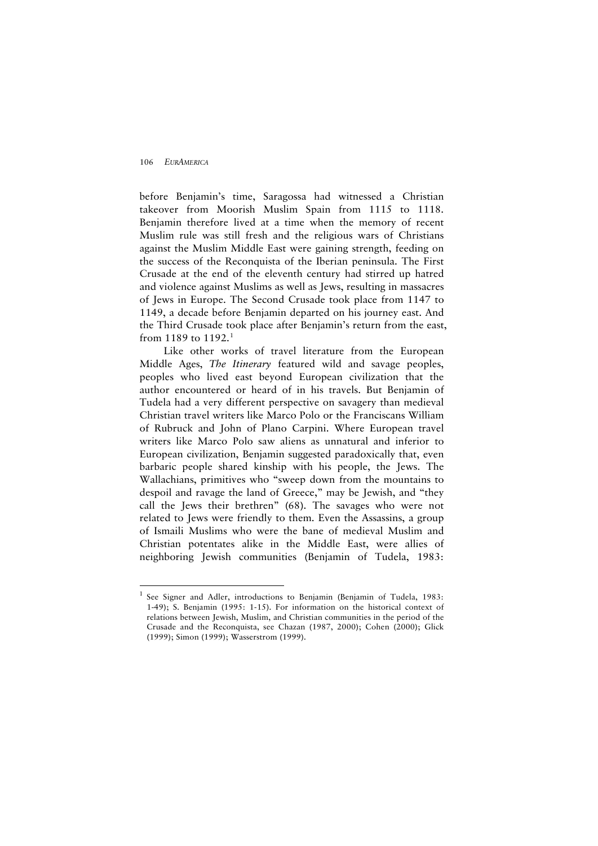$\overline{a}$ 

before Benjamin's time, Saragossa had witnessed a Christian takeover from Moorish Muslim Spain from 1115 to 1118. Benjamin therefore lived at a time when the memory of recent Muslim rule was still fresh and the religious wars of Christians against the Muslim Middle East were gaining strength, feeding on the success of the Reconquista of the Iberian peninsula. The First Crusade at the end of the eleventh century had stirred up hatred and violence against Muslims as well as Jews, resulting in massacres of Jews in Europe. The Second Crusade took place from 1147 to 1149, a decade before Benjamin departed on his journey east. And the Third Crusade took place after Benjamin's return from the east, from [1](#page-3-0)189 to 1192.<sup>1</sup>

Like other works of travel literature from the European Middle Ages, *The Itinerary* featured wild and savage peoples, peoples who lived east beyond European civilization that the author encountered or heard of in his travels. But Benjamin of Tudela had a very different perspective on savagery than medieval Christian travel writers like Marco Polo or the Franciscans William of Rubruck and John of Plano Carpini. Where European travel writers like Marco Polo saw aliens as unnatural and inferior to European civilization, Benjamin suggested paradoxically that, even barbaric people shared kinship with his people, the Jews. The Wallachians, primitives who "sweep down from the mountains to despoil and ravage the land of Greece," may be Jewish, and "they call the Jews their brethren" (68). The savages who were not related to Jews were friendly to them. Even the Assassins, a group of Ismaili Muslims who were the bane of medieval Muslim and Christian potentates alike in the Middle East, were allies of neighboring Jewish communities (Benjamin of Tudela, 1983:

<span id="page-3-0"></span><sup>&</sup>lt;sup>1</sup> See Signer and Adler, introductions to Benjamin (Benjamin of Tudela, 1983: 1-49); S. Benjamin (1995: 1-15). For information on the historical context of relations between Jewish, Muslim, and Christian communities in the period of the Crusade and the Reconquista, see Chazan (1987, 2000); Cohen (2000); Glick (1999); Simon (1999); Wasserstrom (1999).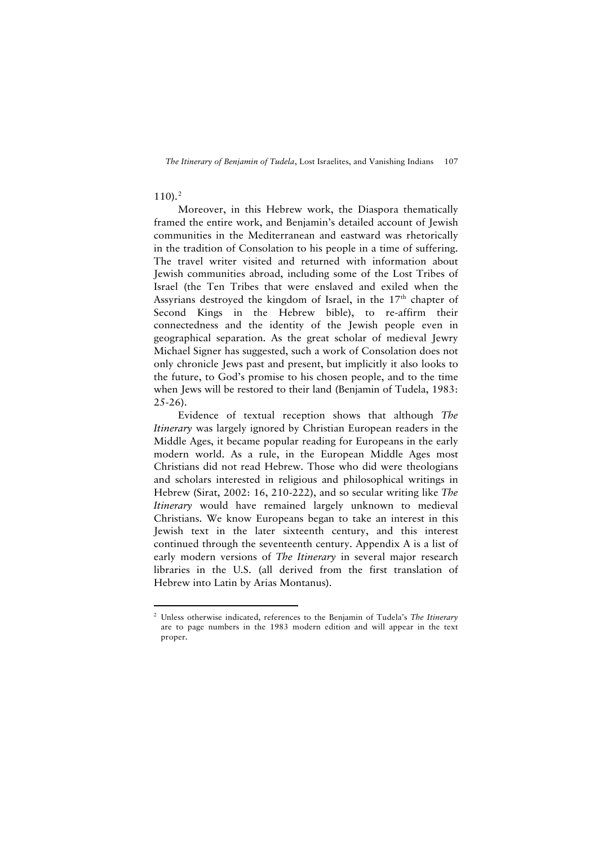## $110$ .<sup>[2](#page-4-0)</sup>

 $\overline{a}$ 

Moreover, in this Hebrew work, the Diaspora thematically framed the entire work, and Benjamin's detailed account of Jewish communities in the Mediterranean and eastward was rhetorically in the tradition of Consolation to his people in a time of suffering. The travel writer visited and returned with information about Jewish communities abroad, including some of the Lost Tribes of Israel (the Ten Tribes that were enslaved and exiled when the Assyrians destroyed the kingdom of Israel, in the  $17<sup>th</sup>$  chapter of Second Kings in the Hebrew bible), to re-affirm their connectedness and the identity of the Jewish people even in geographical separation. As the great scholar of medieval Jewry Michael Signer has suggested, such a work of Consolation does not only chronicle Jews past and present, but implicitly it also looks to the future, to God's promise to his chosen people, and to the time when Jews will be restored to their land (Benjamin of Tudela, 1983:  $25 - 26$ ).

Evidence of textual reception shows that although *The Itinerary* was largely ignored by Christian European readers in the Middle Ages, it became popular reading for Europeans in the early modern world. As a rule, in the European Middle Ages most Christians did not read Hebrew. Those who did were theologians and scholars interested in religious and philosophical writings in Hebrew (Sirat, 2002: 16, 210-222), and so secular writing like *The Itinerary* would have remained largely unknown to medieval Christians. We know Europeans began to take an interest in this Jewish text in the later sixteenth century, and this interest continued through the seventeenth century. Appendix A is a list of early modern versions of *The Itinerary* in several major research libraries in the U.S. (all derived from the first translation of Hebrew into Latin by Arias Montanus).

<span id="page-4-0"></span><sup>2</sup> Unless otherwise indicated, references to the Benjamin of Tudela's *The Itinerary* are to page numbers in the 1983 modern edition and will appear in the text proper.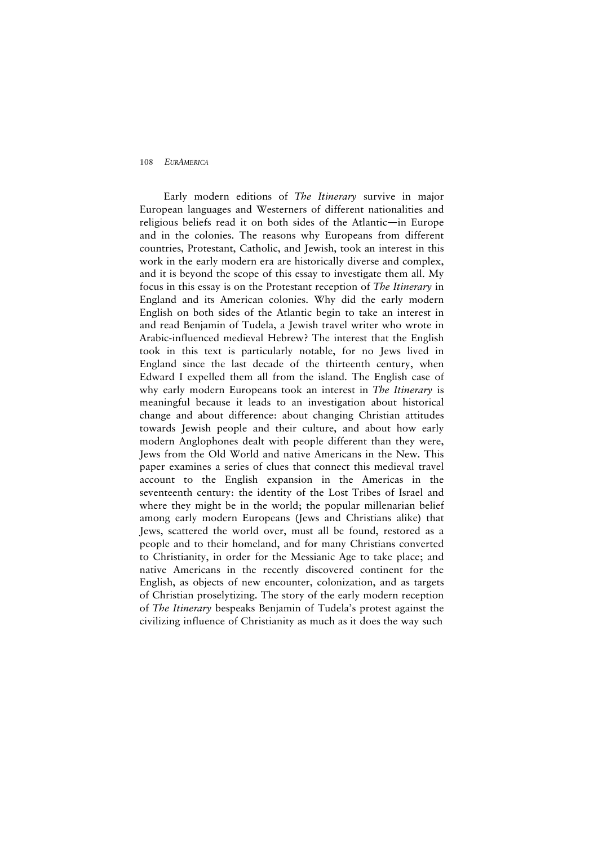Early modern editions of *The Itinerary* survive in major European languages and Westerners of different nationalities and religious beliefs read it on both sides of the Atlantic—in Europe and in the colonies. The reasons why Europeans from different countries, Protestant, Catholic, and Jewish, took an interest in this work in the early modern era are historically diverse and complex, and it is beyond the scope of this essay to investigate them all. My focus in this essay is on the Protestant reception of *The Itinerary* in England and its American colonies. Why did the early modern English on both sides of the Atlantic begin to take an interest in and read Benjamin of Tudela, a Jewish travel writer who wrote in Arabic-influenced medieval Hebrew? The interest that the English took in this text is particularly notable, for no Jews lived in England since the last decade of the thirteenth century, when Edward I expelled them all from the island. The English case of why early modern Europeans took an interest in *The Itinerary* is meaningful because it leads to an investigation about historical change and about difference: about changing Christian attitudes towards Jewish people and their culture, and about how early modern Anglophones dealt with people different than they were, Jews from the Old World and native Americans in the New. This paper examines a series of clues that connect this medieval travel account to the English expansion in the Americas in the seventeenth century: the identity of the Lost Tribes of Israel and where they might be in the world; the popular millenarian belief among early modern Europeans (Jews and Christians alike) that Jews, scattered the world over, must all be found, restored as a people and to their homeland, and for many Christians converted to Christianity, in order for the Messianic Age to take place; and native Americans in the recently discovered continent for the English, as objects of new encounter, colonization, and as targets of Christian proselytizing. The story of the early modern reception of *The Itinerary* bespeaks Benjamin of Tudela's protest against the civilizing influence of Christianity as much as it does the way such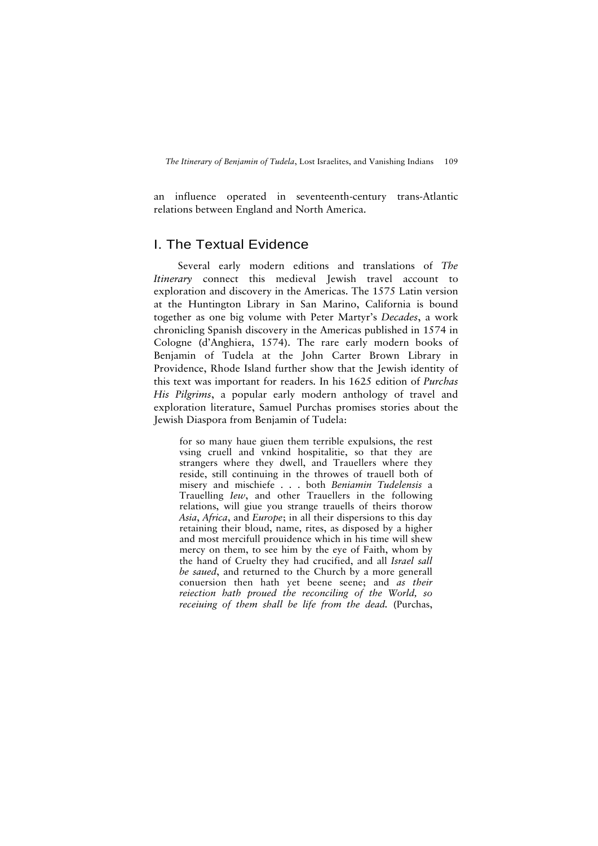an influence operated in seventeenth-century trans-Atlantic relations between England and North America.

# I. The Textual Evidence

Several early modern editions and translations of *The Itinerary* connect this medieval Jewish travel account to exploration and discovery in the Americas. The 1575 Latin version at the Huntington Library in San Marino, California is bound together as one big volume with Peter Martyr's *Decades*, a work chronicling Spanish discovery in the Americas published in 1574 in Cologne (d'Anghiera, 1574). The rare early modern books of Benjamin of Tudela at the John Carter Brown Library in Providence, Rhode Island further show that the Jewish identity of this text was important for readers. In his 1625 edition of *Purchas His Pilgrims*, a popular early modern anthology of travel and exploration literature, Samuel Purchas promises stories about the Jewish Diaspora from Benjamin of Tudela:

for so many haue giuen them terrible expulsions, the rest vsing cruell and vnkind hospitalitie, so that they are strangers where they dwell, and Trauellers where they reside, still continuing in the throwes of trauell both of misery and mischiefe . . . both *Beniamin Tudelensis* a Trauelling *Iew*, and other Trauellers in the following relations, will giue you strange trauells of theirs thorow *Asia*, *Africa*, and *Europe*; in all their dispersions to this day retaining their bloud, name, rites, as disposed by a higher and most mercifull prouidence which in his time will shew mercy on them, to see him by the eye of Faith, whom by the hand of Cruelty they had crucified, and all *Israel sall be saued*, and returned to the Church by a more generall conuersion then hath yet beene seene; and *as their reiection hath proued the reconciling of the World, so receiuing of them shall be life from the dead.* (Purchas,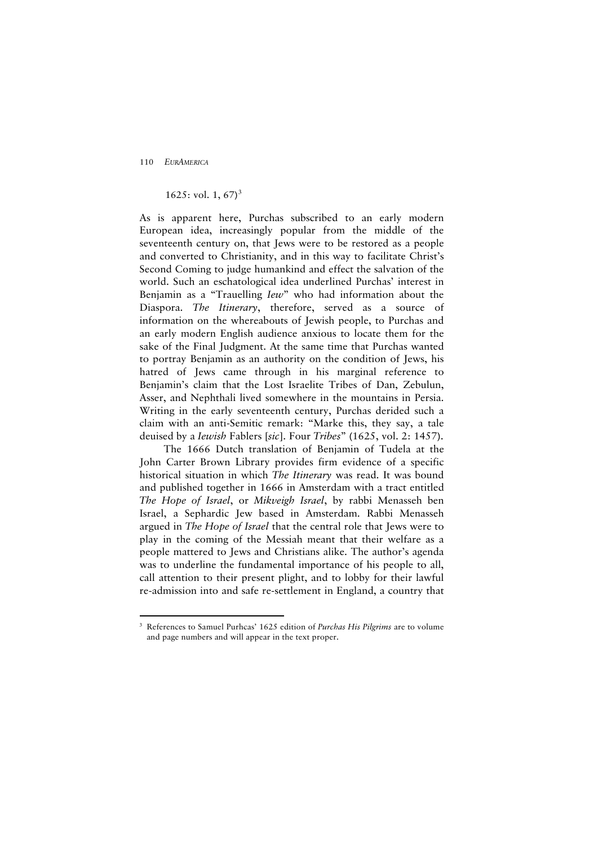$\overline{a}$ 

## 1625: vol. 1, 67 $^3$  $^3$

As is apparent here, Purchas subscribed to an early modern European idea, increasingly popular from the middle of the seventeenth century on, that Jews were to be restored as a people and converted to Christianity, and in this way to facilitate Christ's Second Coming to judge humankind and effect the salvation of the world. Such an eschatological idea underlined Purchas' interest in Benjamin as a "Trauelling *Iew*" who had information about the Diaspora. *The Itinerary*, therefore, served as a source of information on the whereabouts of Jewish people, to Purchas and an early modern English audience anxious to locate them for the sake of the Final Judgment. At the same time that Purchas wanted to portray Benjamin as an authority on the condition of Jews, his hatred of Jews came through in his marginal reference to Benjamin's claim that the Lost Israelite Tribes of Dan, Zebulun, Asser, and Nephthali lived somewhere in the mountains in Persia. Writing in the early seventeenth century, Purchas derided such a claim with an anti-Semitic remark: "Marke this, they say, a tale deuised by a *Iewish* Fablers [*sic*]. Four *Tribes*" (1625, vol. 2: 1457).

The 1666 Dutch translation of Benjamin of Tudela at the John Carter Brown Library provides firm evidence of a specific historical situation in which *The Itinerary* was read. It was bound and published together in 1666 in Amsterdam with a tract entitled *The Hope of Israel*, or *Mikveigh Israel*, by rabbi Menasseh ben Israel, a Sephardic Jew based in Amsterdam. Rabbi Menasseh argued in *The Hope of Israel* that the central role that Jews were to play in the coming of the Messiah meant that their welfare as a people mattered to Jews and Christians alike. The author's agenda was to underline the fundamental importance of his people to all, call attention to their present plight, and to lobby for their lawful re-admission into and safe re-settlement in England, a country that

<span id="page-7-0"></span><sup>3</sup> References to Samuel Purhcas' 1625 edition of *Purchas His Pilgrims* are to volume and page numbers and will appear in the text proper.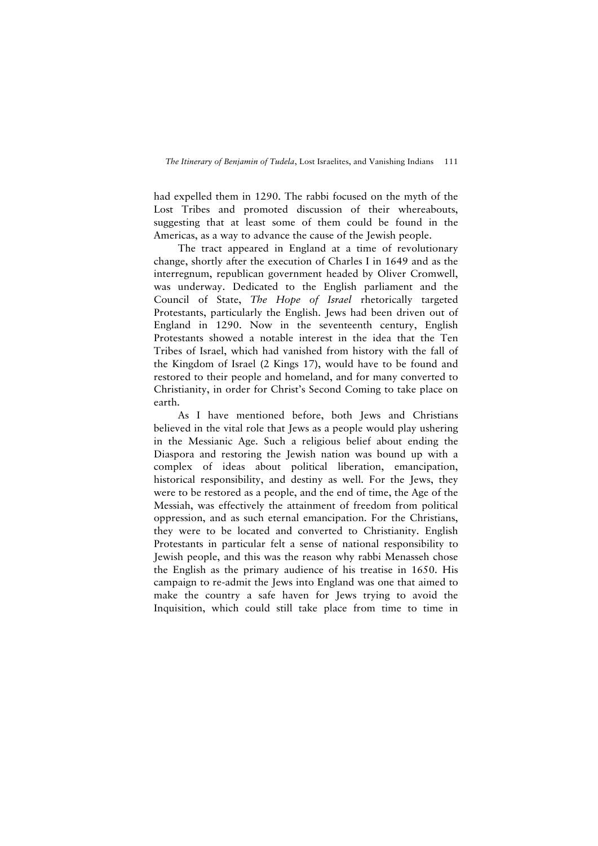had expelled them in 1290. The rabbi focused on the myth of the Lost Tribes and promoted discussion of their whereabouts, suggesting that at least some of them could be found in the Americas, as a way to advance the cause of the Jewish people.

The tract appeared in England at a time of revolutionary change, shortly after the execution of Charles I in 1649 and as the interregnum, republican government headed by Oliver Cromwell, was underway. Dedicated to the English parliament and the Council of State, *The Hope of Israel* rhetorically targeted Protestants, particularly the English. Jews had been driven out of England in 1290. Now in the seventeenth century, English Protestants showed a notable interest in the idea that the Ten Tribes of Israel, which had vanished from history with the fall of the Kingdom of Israel (2 Kings 17), would have to be found and restored to their people and homeland, and for many converted to Christianity, in order for Christ's Second Coming to take place on earth.

As I have mentioned before, both Jews and Christians believed in the vital role that Jews as a people would play ushering in the Messianic Age. Such a religious belief about ending the Diaspora and restoring the Jewish nation was bound up with a complex of ideas about political liberation, emancipation, historical responsibility, and destiny as well. For the Jews, they were to be restored as a people, and the end of time, the Age of the Messiah, was effectively the attainment of freedom from political oppression, and as such eternal emancipation. For the Christians, they were to be located and converted to Christianity. English Protestants in particular felt a sense of national responsibility to Jewish people, and this was the reason why rabbi Menasseh chose the English as the primary audience of his treatise in 1650. His campaign to re-admit the Jews into England was one that aimed to make the country a safe haven for Jews trying to avoid the Inquisition, which could still take place from time to time in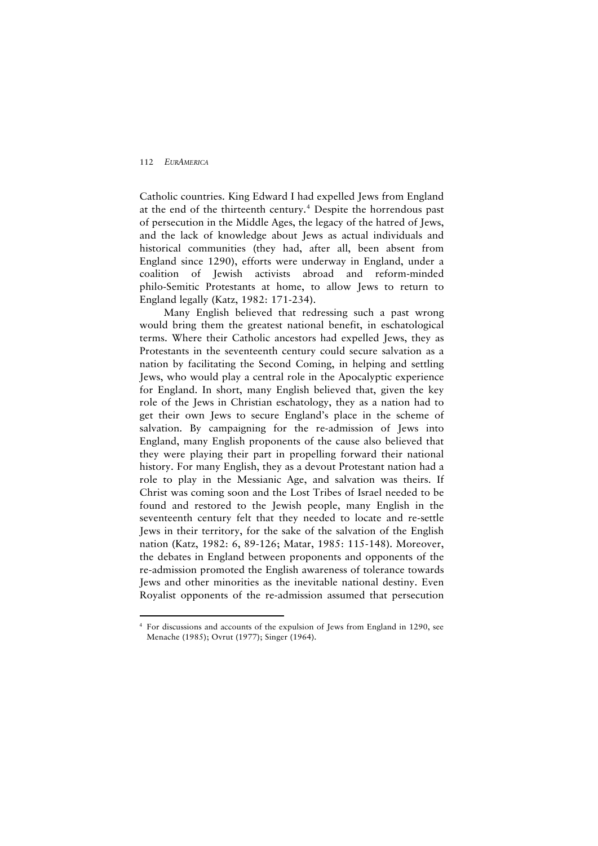$\overline{a}$ 

Catholic countries. King Edward I had expelled Jews from England at the end of the thirteenth century.<sup>[4](#page-9-0)</sup> Despite the horrendous past of persecution in the Middle Ages, the legacy of the hatred of Jews, and the lack of knowledge about Jews as actual individuals and historical communities (they had, after all, been absent from England since 1290), efforts were underway in England, under a coalition of Jewish activists abroad and reform-minded philo-Semitic Protestants at home, to allow Jews to return to England legally (Katz, 1982: 171-234).

Many English believed that redressing such a past wrong would bring them the greatest national benefit, in eschatological terms. Where their Catholic ancestors had expelled Jews, they as Protestants in the seventeenth century could secure salvation as a nation by facilitating the Second Coming, in helping and settling Jews, who would play a central role in the Apocalyptic experience for England. In short, many English believed that, given the key role of the Jews in Christian eschatology, they as a nation had to get their own Jews to secure England's place in the scheme of salvation. By campaigning for the re-admission of Jews into England, many English proponents of the cause also believed that they were playing their part in propelling forward their national history. For many English, they as a devout Protestant nation had a role to play in the Messianic Age, and salvation was theirs. If Christ was coming soon and the Lost Tribes of Israel needed to be found and restored to the Jewish people, many English in the seventeenth century felt that they needed to locate and re-settle Jews in their territory, for the sake of the salvation of the English nation (Katz, 1982: 6, 89-126; Matar, 1985: 115-148). Moreover, the debates in England between proponents and opponents of the re-admission promoted the English awareness of tolerance towards Jews and other minorities as the inevitable national destiny. Even Royalist opponents of the re-admission assumed that persecution

<span id="page-9-0"></span><sup>4</sup> For discussions and accounts of the expulsion of Jews from England in 1290, see Menache (1985); Ovrut (1977); Singer (1964).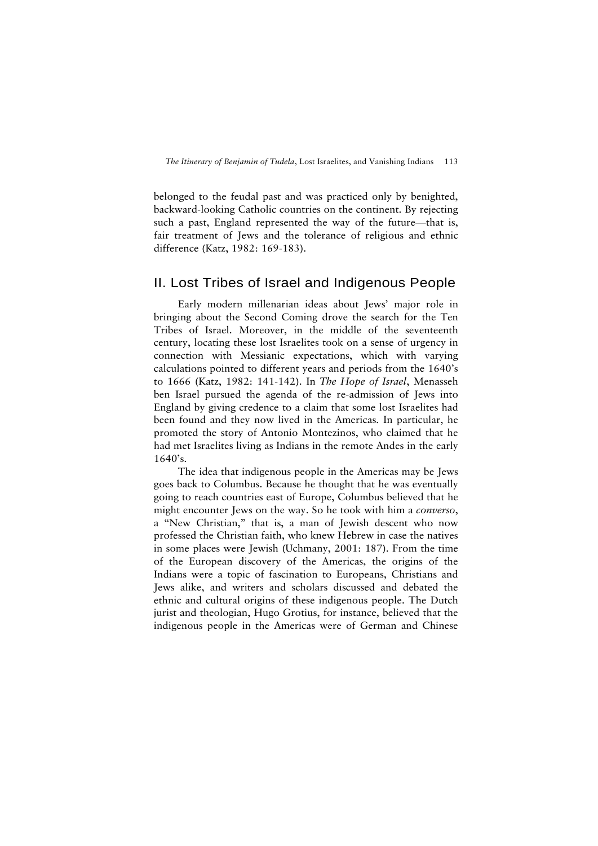belonged to the feudal past and was practiced only by benighted, backward-looking Catholic countries on the continent. By rejecting such a past, England represented the way of the future—that is, fair treatment of Jews and the tolerance of religious and ethnic difference (Katz, 1982: 169-183).

## II. Lost Tribes of Israel and Indigenous People

Early modern millenarian ideas about Jews' major role in bringing about the Second Coming drove the search for the Ten Tribes of Israel. Moreover, in the middle of the seventeenth century, locating these lost Israelites took on a sense of urgency in connection with Messianic expectations, which with varying calculations pointed to different years and periods from the 1640's to 1666 (Katz, 1982: 141-142). In *The Hope of Israel*, Menasseh ben Israel pursued the agenda of the re-admission of Jews into England by giving credence to a claim that some lost Israelites had been found and they now lived in the Americas. In particular, he promoted the story of Antonio Montezinos, who claimed that he had met Israelites living as Indians in the remote Andes in the early  $1640's$ .

The idea that indigenous people in the Americas may be Jews goes back to Columbus. Because he thought that he was eventually going to reach countries east of Europe, Columbus believed that he might encounter Jews on the way. So he took with him a *converso*, a "New Christian," that is, a man of Jewish descent who now professed the Christian faith, who knew Hebrew in case the natives in some places were Jewish (Uchmany, 2001: 187). From the time of the European discovery of the Americas, the origins of the Indians were a topic of fascination to Europeans, Christians and Jews alike, and writers and scholars discussed and debated the ethnic and cultural origins of these indigenous people. The Dutch jurist and theologian, Hugo Grotius, for instance, believed that the indigenous people in the Americas were of German and Chinese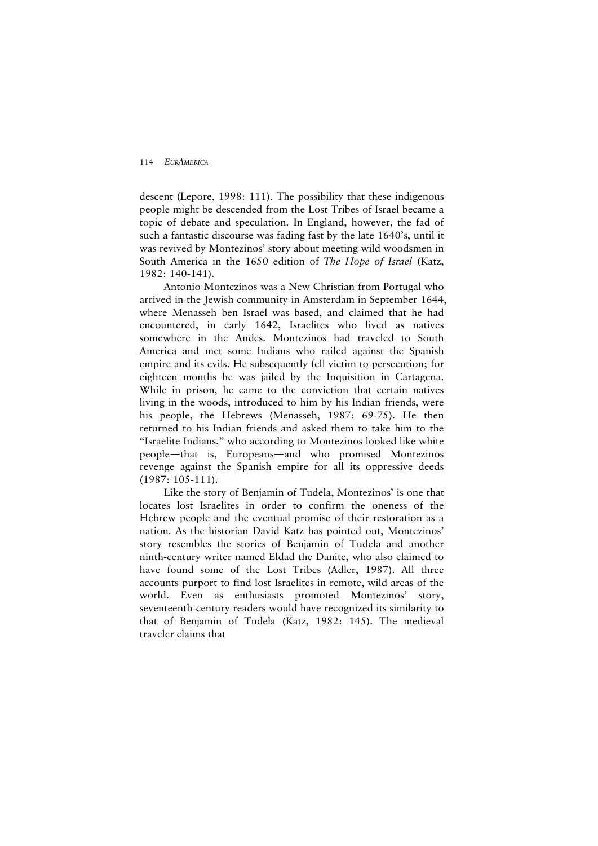descent (Lepore, 1998: 111). The possibility that these indigenous people might be descended from the Lost Tribes of Israel became a topic of debate and speculation. In England, however, the fad of such a fantastic discourse was fading fast by the late 1640's, until it was revived by Montezinos' story about meeting wild woodsmen in South America in the 1650 edition of *The Hope of Israel* (Katz, 1982: 140-141).

Antonio Montezinos was a New Christian from Portugal who arrived in the Jewish community in Amsterdam in September 1644, where Menasseh ben Israel was based, and claimed that he had encountered, in early 1642, Israelites who lived as natives somewhere in the Andes. Montezinos had traveled to South America and met some Indians who railed against the Spanish empire and its evils. He subsequently fell victim to persecution; for eighteen months he was jailed by the Inquisition in Cartagena. While in prison, he came to the conviction that certain natives living in the woods, introduced to him by his Indian friends, were his people, the Hebrews (Menasseh, 1987: 69-75). He then returned to his Indian friends and asked them to take him to the "Israelite Indians," who according to Montezinos looked like white people—that is, Europeans—and who promised Montezinos revenge against the Spanish empire for all its oppressive deeds (1987: 105-111).

Like the story of Benjamin of Tudela, Montezinos' is one that locates lost Israelites in order to confirm the oneness of the Hebrew people and the eventual promise of their restoration as a nation. As the historian David Katz has pointed out, Montezinos' story resembles the stories of Benjamin of Tudela and another ninth-century writer named Eldad the Danite, who also claimed to have found some of the Lost Tribes (Adler, 1987). All three accounts purport to find lost Israelites in remote, wild areas of the world. Even as enthusiasts promoted Montezinos' story, seventeenth-century readers would have recognized its similarity to that of Benjamin of Tudela (Katz, 1982: 145). The medieval traveler claims that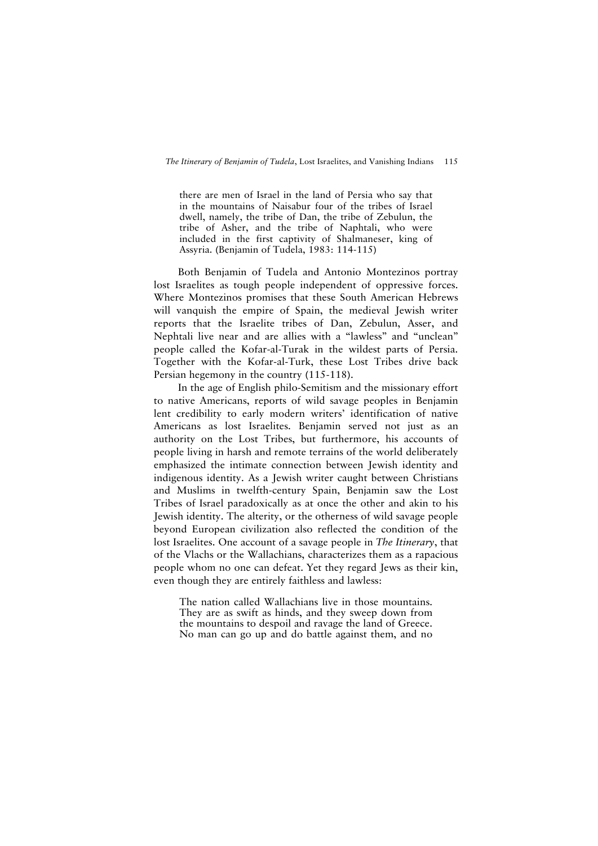there are men of Israel in the land of Persia who say that in the mountains of Naisabur four of the tribes of Israel dwell, namely, the tribe of Dan, the tribe of Zebulun, the tribe of Asher, and the tribe of Naphtali, who were included in the first captivity of Shalmaneser, king of Assyria. (Benjamin of Tudela, 1983: 114-115)

Both Benjamin of Tudela and Antonio Montezinos portray lost Israelites as tough people independent of oppressive forces. Where Montezinos promises that these South American Hebrews will vanquish the empire of Spain, the medieval Jewish writer reports that the Israelite tribes of Dan, Zebulun, Asser, and Nephtali live near and are allies with a "lawless" and "unclean" people called the Kofar-al-Turak in the wildest parts of Persia. Together with the Kofar-al-Turk, these Lost Tribes drive back Persian hegemony in the country (115-118).

In the age of English philo-Semitism and the missionary effort to native Americans, reports of wild savage peoples in Benjamin lent credibility to early modern writers' identification of native Americans as lost Israelites. Benjamin served not just as an authority on the Lost Tribes, but furthermore, his accounts of people living in harsh and remote terrains of the world deliberately emphasized the intimate connection between Jewish identity and indigenous identity. As a Jewish writer caught between Christians and Muslims in twelfth-century Spain, Benjamin saw the Lost Tribes of Israel paradoxically as at once the other and akin to his Jewish identity. The alterity, or the otherness of wild savage people beyond European civilization also reflected the condition of the lost Israelites. One account of a savage people in *The Itinerary*, that of the Vlachs or the Wallachians, characterizes them as a rapacious people whom no one can defeat. Yet they regard Jews as their kin, even though they are entirely faithless and lawless:

The nation called Wallachians live in those mountains. They are as swift as hinds, and they sweep down from the mountains to despoil and ravage the land of Greece. No man can go up and do battle against them, and no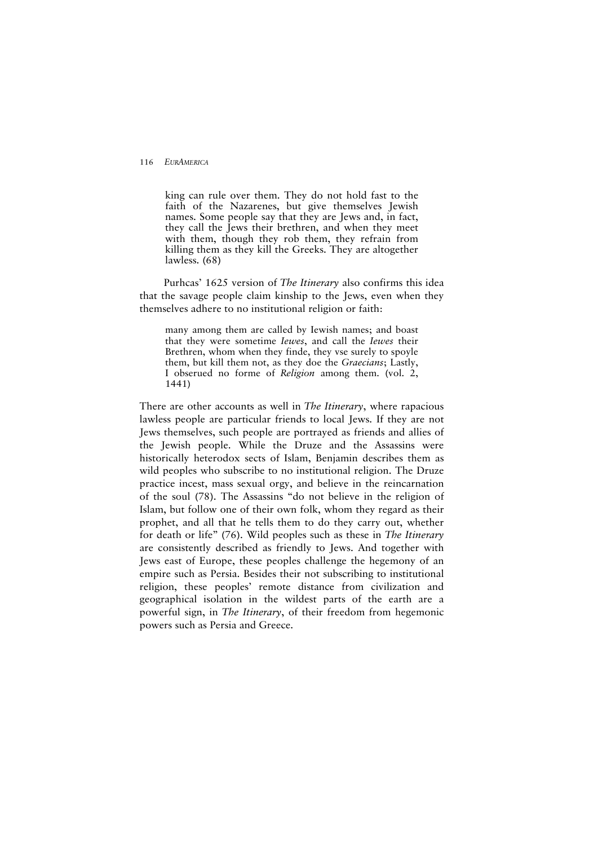king can rule over them. They do not hold fast to the faith of the Nazarenes, but give themselves Jewish names. Some people say that they are Jews and, in fact, they call the Jews their brethren, and when they meet with them, though they rob them, they refrain from killing them as they kill the Greeks. They are altogether lawless. (68)

Purhcas' 1625 version of *The Itinerary* also confirms this idea that the savage people claim kinship to the Jews, even when they themselves adhere to no institutional religion or faith:

many among them are called by Iewish names; and boast that they were sometime *Iewes*, and call the *Iewes* their Brethren, whom when they finde, they vse surely to spoyle them, but kill them not, as they doe the *Graecians*; Lastly, I obserued no forme of *Religion* among them. (vol. 2, 1441)

There are other accounts as well in *The Itinerary*, where rapacious lawless people are particular friends to local Jews. If they are not Jews themselves, such people are portrayed as friends and allies of the Jewish people. While the Druze and the Assassins were historically heterodox sects of Islam, Benjamin describes them as wild peoples who subscribe to no institutional religion. The Druze practice incest, mass sexual orgy, and believe in the reincarnation of the soul (78). The Assassins "do not believe in the religion of Islam, but follow one of their own folk, whom they regard as their prophet, and all that he tells them to do they carry out, whether for death or life" (76). Wild peoples such as these in *The Itinerary* are consistently described as friendly to Jews. And together with Jews east of Europe, these peoples challenge the hegemony of an empire such as Persia. Besides their not subscribing to institutional religion, these peoples' remote distance from civilization and geographical isolation in the wildest parts of the earth are a powerful sign, in *The Itinerary*, of their freedom from hegemonic powers such as Persia and Greece.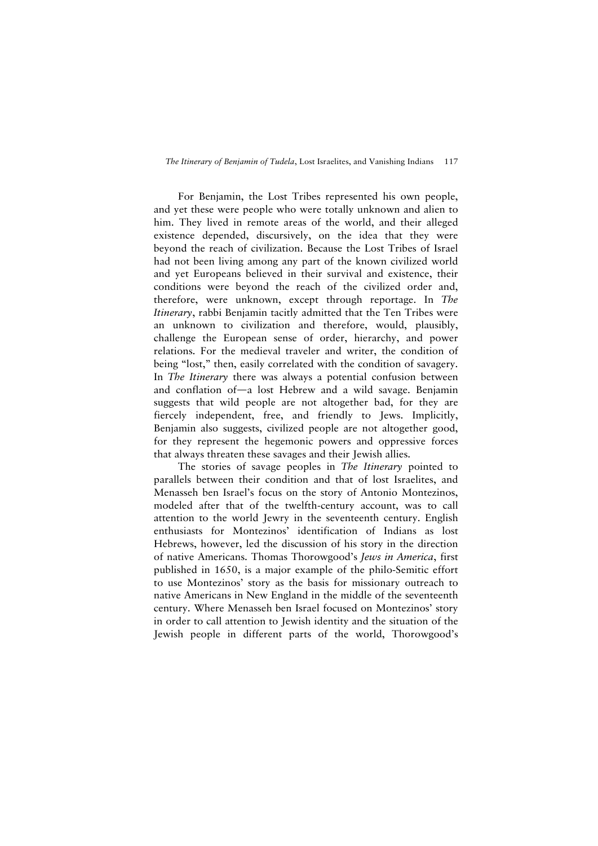For Benjamin, the Lost Tribes represented his own people, and yet these were people who were totally unknown and alien to him. They lived in remote areas of the world, and their alleged existence depended, discursively, on the idea that they were beyond the reach of civilization. Because the Lost Tribes of Israel had not been living among any part of the known civilized world and yet Europeans believed in their survival and existence, their conditions were beyond the reach of the civilized order and, therefore, were unknown, except through reportage. In *The Itinerary*, rabbi Benjamin tacitly admitted that the Ten Tribes were an unknown to civilization and therefore, would, plausibly, challenge the European sense of order, hierarchy, and power relations. For the medieval traveler and writer, the condition of being "lost," then, easily correlated with the condition of savagery. In *The Itinerary* there was always a potential confusion between and conflation of—a lost Hebrew and a wild savage. Benjamin suggests that wild people are not altogether bad, for they are fiercely independent, free, and friendly to Jews. Implicitly, Benjamin also suggests, civilized people are not altogether good, for they represent the hegemonic powers and oppressive forces that always threaten these savages and their Jewish allies.

The stories of savage peoples in *The Itinerary* pointed to parallels between their condition and that of lost Israelites, and Menasseh ben Israel's focus on the story of Antonio Montezinos, modeled after that of the twelfth-century account, was to call attention to the world Jewry in the seventeenth century. English enthusiasts for Montezinos' identification of Indians as lost Hebrews, however, led the discussion of his story in the direction of native Americans. Thomas Thorowgood's *Jews in America*, first published in 1650, is a major example of the philo-Semitic effort to use Montezinos' story as the basis for missionary outreach to native Americans in New England in the middle of the seventeenth century. Where Menasseh ben Israel focused on Montezinos' story in order to call attention to Jewish identity and the situation of the Jewish people in different parts of the world, Thorowgood's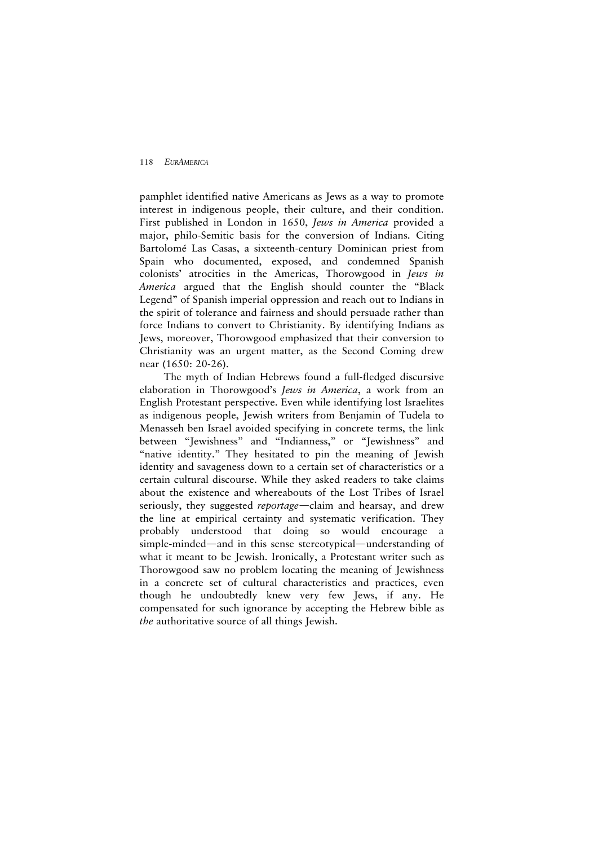pamphlet identified native Americans as Jews as a way to promote interest in indigenous people, their culture, and their condition. First published in London in 1650, *Jews in America* provided a major, philo-Semitic basis for the conversion of Indians. Citing Bartolomé Las Casas, a sixteenth-century Dominican priest from Spain who documented, exposed, and condemned Spanish colonists' atrocities in the Americas, Thorowgood in *Jews in America* argued that the English should counter the "Black Legend" of Spanish imperial oppression and reach out to Indians in the spirit of tolerance and fairness and should persuade rather than force Indians to convert to Christianity. By identifying Indians as Jews, moreover, Thorowgood emphasized that their conversion to Christianity was an urgent matter, as the Second Coming drew near (1650: 20-26).

The myth of Indian Hebrews found a full-fledged discursive elaboration in Thorowgood's *Jews in America*, a work from an English Protestant perspective. Even while identifying lost Israelites as indigenous people, Jewish writers from Benjamin of Tudela to Menasseh ben Israel avoided specifying in concrete terms, the link between "Jewishness" and "Indianness," or "Jewishness" and "native identity." They hesitated to pin the meaning of Jewish identity and savageness down to a certain set of characteristics or a certain cultural discourse. While they asked readers to take claims about the existence and whereabouts of the Lost Tribes of Israel seriously, they suggested *reportage*—claim and hearsay, and drew the line at empirical certainty and systematic verification. They probably understood that doing so would encourage a simple-minded—and in this sense stereotypical—understanding of what it meant to be Jewish. Ironically, a Protestant writer such as Thorowgood saw no problem locating the meaning of Jewishness in a concrete set of cultural characteristics and practices, even though he undoubtedly knew very few Jews, if any. He compensated for such ignorance by accepting the Hebrew bible as *the* authoritative source of all things Jewish.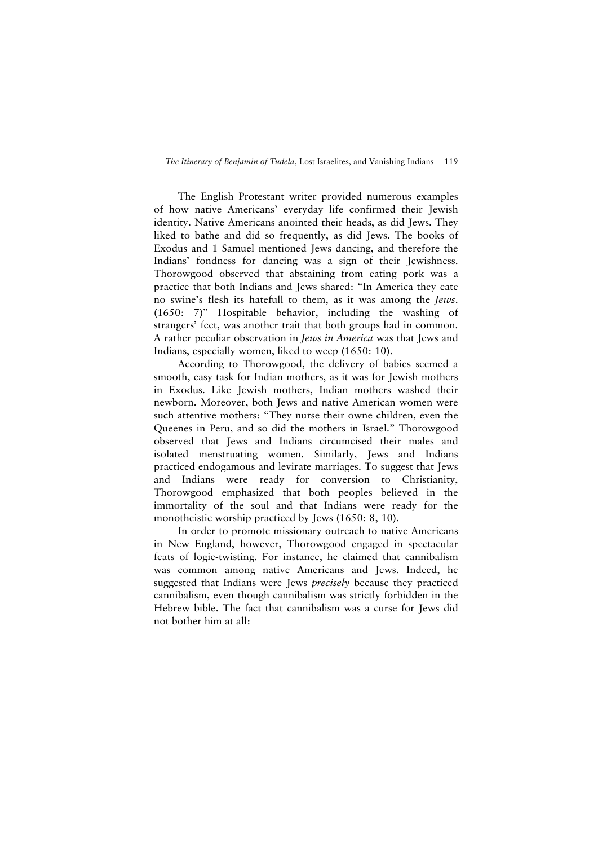The English Protestant writer provided numerous examples of how native Americans' everyday life confirmed their Jewish identity. Native Americans anointed their heads, as did Jews. They liked to bathe and did so frequently, as did Jews. The books of Exodus and 1 Samuel mentioned Jews dancing, and therefore the Indians' fondness for dancing was a sign of their Jewishness. Thorowgood observed that abstaining from eating pork was a practice that both Indians and Jews shared: "In America they eate no swine's flesh its hatefull to them, as it was among the *Jews*. (1650: 7)" Hospitable behavior, including the washing of strangers' feet, was another trait that both groups had in common. A rather peculiar observation in *Jews in America* was that Jews and Indians, especially women, liked to weep (1650: 10).

According to Thorowgood, the delivery of babies seemed a smooth, easy task for Indian mothers, as it was for Jewish mothers in Exodus. Like Jewish mothers, Indian mothers washed their newborn. Moreover, both Jews and native American women were such attentive mothers: "They nurse their owne children, even the Queenes in Peru, and so did the mothers in Israel." Thorowgood observed that Jews and Indians circumcised their males and isolated menstruating women. Similarly, Jews and Indians practiced endogamous and levirate marriages. To suggest that Jews and Indians were ready for conversion to Christianity, Thorowgood emphasized that both peoples believed in the immortality of the soul and that Indians were ready for the monotheistic worship practiced by Jews (1650: 8, 10).

In order to promote missionary outreach to native Americans in New England, however, Thorowgood engaged in spectacular feats of logic-twisting. For instance, he claimed that cannibalism was common among native Americans and Jews. Indeed, he suggested that Indians were Jews *precisely* because they practiced cannibalism, even though cannibalism was strictly forbidden in the Hebrew bible. The fact that cannibalism was a curse for Jews did not bother him at all: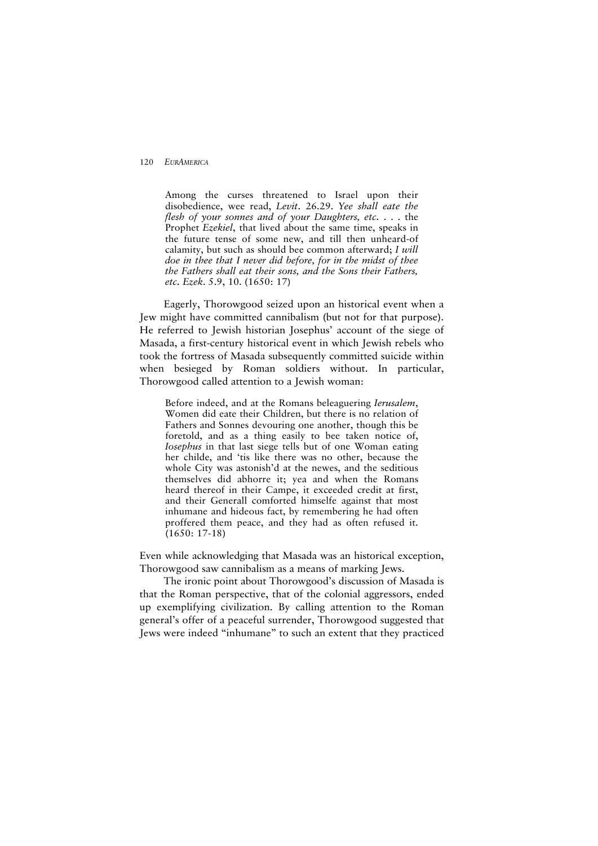Among the curses threatened to Israel upon their disobedience, wee read, *Levit*. 26.29. *Yee shall eate the flesh of your sonnes and of your Daughters, etc.* . . . the Prophet *Ezekiel*, that lived about the same time, speaks in the future tense of some new, and till then unheard-of calamity, but such as should bee common afterward; *I will doe in thee that I never did before, for in the midst of thee the Fathers shall eat their sons, and the Sons their Fathers, etc. Ezek*. 5.9, 10. (1650: 17)

Eagerly, Thorowgood seized upon an historical event when a Jew might have committed cannibalism (but not for that purpose). He referred to Jewish historian Josephus' account of the siege of Masada, a first-century historical event in which Jewish rebels who took the fortress of Masada subsequently committed suicide within when besieged by Roman soldiers without. In particular, Thorowgood called attention to a Jewish woman:

Before indeed, and at the Romans beleaguering *Ierusalem*, Women did eate their Children, but there is no relation of Fathers and Sonnes devouring one another, though this be foretold, and as a thing easily to bee taken notice of, *Iosephus* in that last siege tells but of one Woman eating her childe, and 'tis like there was no other, because the whole City was astonish'd at the newes, and the seditious themselves did abhorre it; yea and when the Romans heard thereof in their Campe, it exceeded credit at first, and their Generall comforted himselfe against that most inhumane and hideous fact, by remembering he had often proffered them peace, and they had as often refused it. (1650: 17-18)

Even while acknowledging that Masada was an historical exception, Thorowgood saw cannibalism as a means of marking Jews.

The ironic point about Thorowgood's discussion of Masada is that the Roman perspective, that of the colonial aggressors, ended up exemplifying civilization. By calling attention to the Roman general's offer of a peaceful surrender, Thorowgood suggested that Jews were indeed "inhumane" to such an extent that they practiced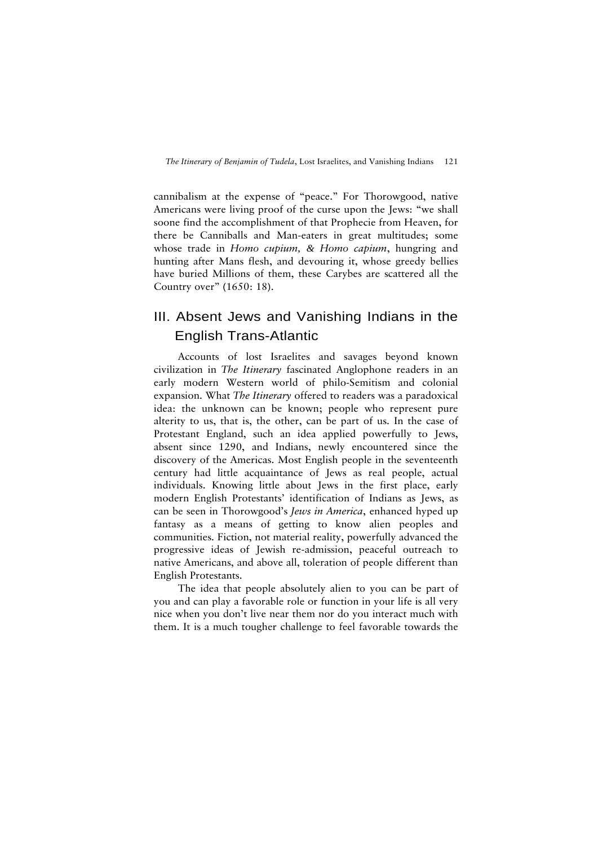cannibalism at the expense of "peace." For Thorowgood, native Americans were living proof of the curse upon the Jews: "we shall soone find the accomplishment of that Prophecie from Heaven, for there be Canniballs and Man-eaters in great multitudes; some whose trade in *Homo cupium, & Homo capium*, hungring and hunting after Mans flesh, and devouring it, whose greedy bellies have buried Millions of them, these Carybes are scattered all the Country over" (1650: 18).

# III. Absent Jews and Vanishing Indians in the English Trans-Atlantic

Accounts of lost Israelites and savages beyond known civilization in *The Itinerary* fascinated Anglophone readers in an early modern Western world of philo-Semitism and colonial expansion. What *The Itinerary* offered to readers was a paradoxical idea: the unknown can be known; people who represent pure alterity to us, that is, the other, can be part of us. In the case of Protestant England, such an idea applied powerfully to Jews, absent since 1290, and Indians, newly encountered since the discovery of the Americas. Most English people in the seventeenth century had little acquaintance of Jews as real people, actual individuals. Knowing little about Jews in the first place, early modern English Protestants' identification of Indians as Jews, as can be seen in Thorowgood's *Jews in America*, enhanced hyped up fantasy as a means of getting to know alien peoples and communities. Fiction, not material reality, powerfully advanced the progressive ideas of Jewish re-admission, peaceful outreach to native Americans, and above all, toleration of people different than English Protestants.

The idea that people absolutely alien to you can be part of you and can play a favorable role or function in your life is all very nice when you don't live near them nor do you interact much with them. It is a much tougher challenge to feel favorable towards the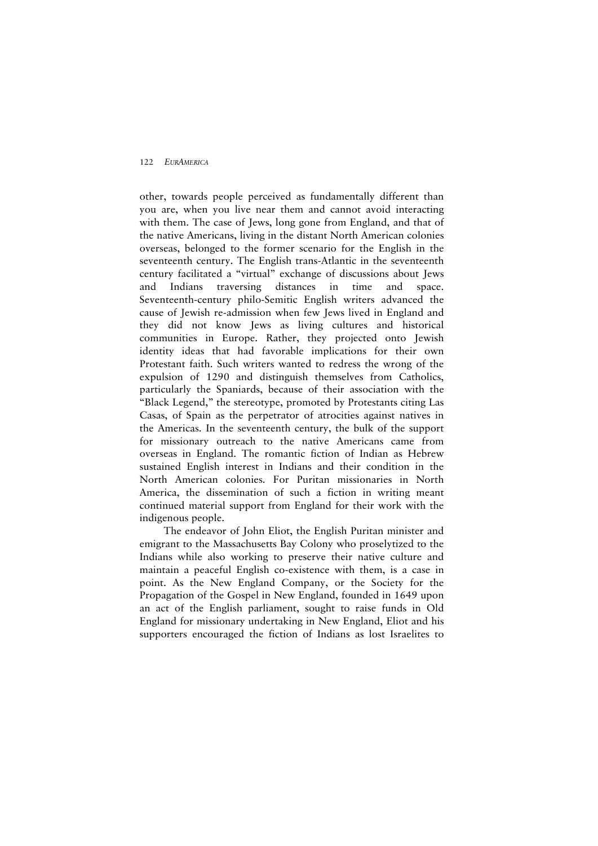other, towards people perceived as fundamentally different than you are, when you live near them and cannot avoid interacting with them. The case of Jews, long gone from England, and that of the native Americans, living in the distant North American colonies overseas, belonged to the former scenario for the English in the seventeenth century. The English trans-Atlantic in the seventeenth century facilitated a "virtual" exchange of discussions about Jews and Indians traversing distances in time and space. Seventeenth-century philo-Semitic English writers advanced the cause of Jewish re-admission when few Jews lived in England and they did not know Jews as living cultures and historical communities in Europe. Rather, they projected onto Jewish identity ideas that had favorable implications for their own Protestant faith. Such writers wanted to redress the wrong of the expulsion of 1290 and distinguish themselves from Catholics, particularly the Spaniards, because of their association with the "Black Legend," the stereotype, promoted by Protestants citing Las Casas, of Spain as the perpetrator of atrocities against natives in the Americas. In the seventeenth century, the bulk of the support for missionary outreach to the native Americans came from overseas in England. The romantic fiction of Indian as Hebrew sustained English interest in Indians and their condition in the North American colonies. For Puritan missionaries in North America, the dissemination of such a fiction in writing meant continued material support from England for their work with the indigenous people.

The endeavor of John Eliot, the English Puritan minister and emigrant to the Massachusetts Bay Colony who proselytized to the Indians while also working to preserve their native culture and maintain a peaceful English co-existence with them, is a case in point. As the New England Company, or the Society for the Propagation of the Gospel in New England, founded in 1649 upon an act of the English parliament, sought to raise funds in Old England for missionary undertaking in New England, Eliot and his supporters encouraged the fiction of Indians as lost Israelites to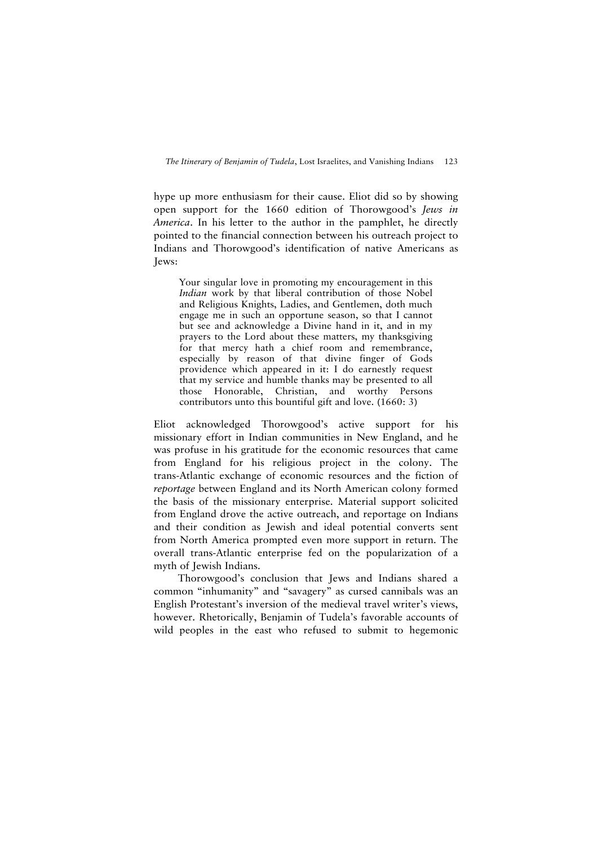hype up more enthusiasm for their cause. Eliot did so by showing open support for the 1660 edition of Thorowgood's *Jews in America*. In his letter to the author in the pamphlet, he directly pointed to the financial connection between his outreach project to Indians and Thorowgood's identification of native Americans as Jews:

Your singular love in promoting my encouragement in this *Indian* work by that liberal contribution of those Nobel and Religious Knights, Ladies, and Gentlemen, doth much engage me in such an opportune season, so that I cannot but see and acknowledge a Divine hand in it, and in my prayers to the Lord about these matters, my thanksgiving for that mercy hath a chief room and remembrance, especially by reason of that divine finger of Gods providence which appeared in it: I do earnestly request that my service and humble thanks may be presented to all those Honorable, Christian, and worthy Persons contributors unto this bountiful gift and love. (1660: 3)

Eliot acknowledged Thorowgood's active support for his missionary effort in Indian communities in New England, and he was profuse in his gratitude for the economic resources that came from England for his religious project in the colony. The trans-Atlantic exchange of economic resources and the fiction of *reportage* between England and its North American colony formed the basis of the missionary enterprise. Material support solicited from England drove the active outreach, and reportage on Indians and their condition as Jewish and ideal potential converts sent from North America prompted even more support in return. The overall trans-Atlantic enterprise fed on the popularization of a myth of Jewish Indians.

Thorowgood's conclusion that Jews and Indians shared a common "inhumanity" and "savagery" as cursed cannibals was an English Protestant's inversion of the medieval travel writer's views, however. Rhetorically, Benjamin of Tudela's favorable accounts of wild peoples in the east who refused to submit to hegemonic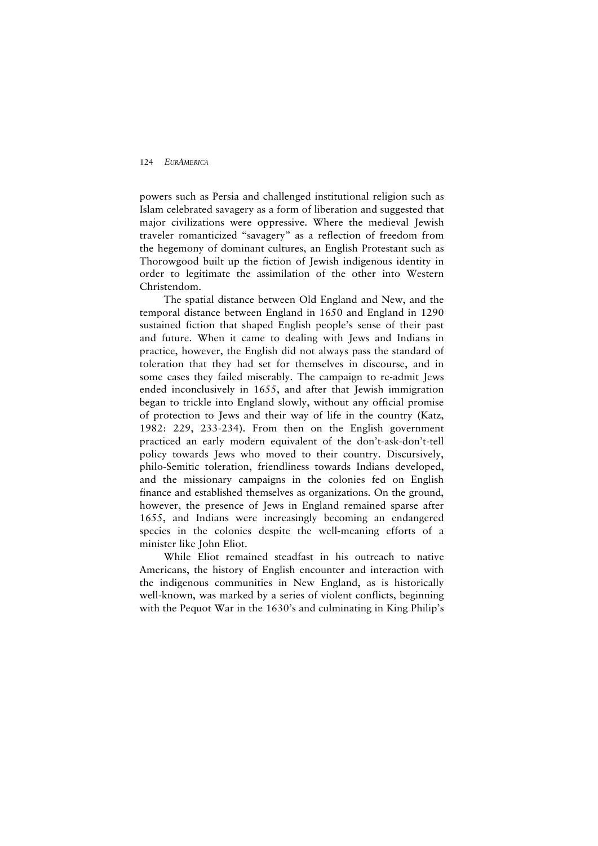powers such as Persia and challenged institutional religion such as Islam celebrated savagery as a form of liberation and suggested that major civilizations were oppressive. Where the medieval Jewish traveler romanticized "savagery" as a reflection of freedom from the hegemony of dominant cultures, an English Protestant such as Thorowgood built up the fiction of Jewish indigenous identity in order to legitimate the assimilation of the other into Western Christendom.

The spatial distance between Old England and New, and the temporal distance between England in 1650 and England in 1290 sustained fiction that shaped English people's sense of their past and future. When it came to dealing with Jews and Indians in practice, however, the English did not always pass the standard of toleration that they had set for themselves in discourse, and in some cases they failed miserably. The campaign to re-admit Jews ended inconclusively in 1655, and after that Jewish immigration began to trickle into England slowly, without any official promise of protection to Jews and their way of life in the country (Katz, 1982: 229, 233-234). From then on the English government practiced an early modern equivalent of the don't-ask-don't-tell policy towards Jews who moved to their country. Discursively, philo-Semitic toleration, friendliness towards Indians developed, and the missionary campaigns in the colonies fed on English finance and established themselves as organizations. On the ground, however, the presence of Jews in England remained sparse after 1655, and Indians were increasingly becoming an endangered species in the colonies despite the well-meaning efforts of a minister like John Eliot.

While Eliot remained steadfast in his outreach to native Americans, the history of English encounter and interaction with the indigenous communities in New England, as is historically well-known, was marked by a series of violent conflicts, beginning with the Pequot War in the 1630's and culminating in King Philip's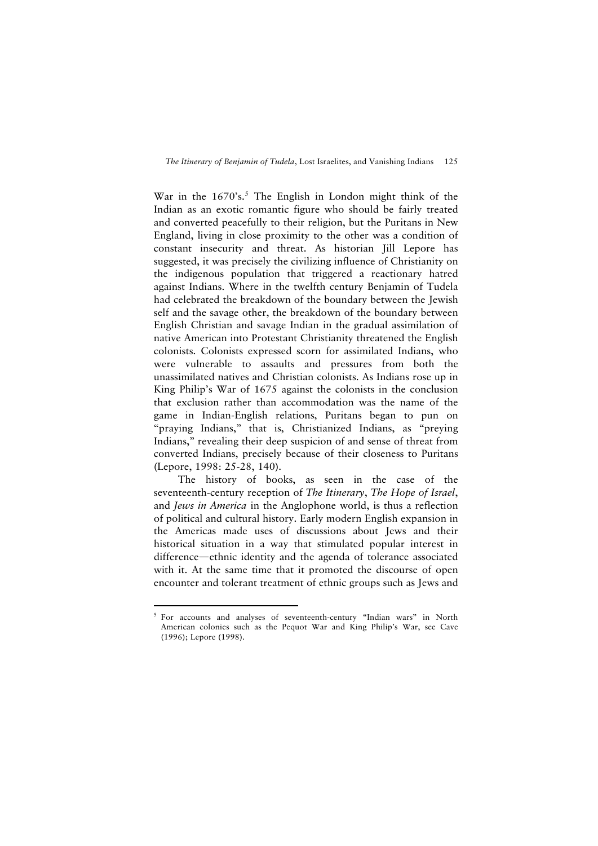War in the 1670's.<sup>[5](#page-22-0)</sup> The English in London might think of the Indian as an exotic romantic figure who should be fairly treated and converted peacefully to their religion, but the Puritans in New England, living in close proximity to the other was a condition of constant insecurity and threat. As historian Jill Lepore has suggested, it was precisely the civilizing influence of Christianity on the indigenous population that triggered a reactionary hatred against Indians. Where in the twelfth century Benjamin of Tudela had celebrated the breakdown of the boundary between the Jewish self and the savage other, the breakdown of the boundary between English Christian and savage Indian in the gradual assimilation of native American into Protestant Christianity threatened the English colonists. Colonists expressed scorn for assimilated Indians, who were vulnerable to assaults and pressures from both the unassimilated natives and Christian colonists. As Indians rose up in King Philip's War of 1675 against the colonists in the conclusion that exclusion rather than accommodation was the name of the game in Indian-English relations, Puritans began to pun on "praying Indians," that is, Christianized Indians, as "preying Indians," revealing their deep suspicion of and sense of threat from converted Indians, precisely because of their closeness to Puritans (Lepore, 1998: 25-28, 140).

The history of books, as seen in the case of the seventeenth-century reception of *The Itinerary*, *The Hope of Israel*, and *Jews in America* in the Anglophone world, is thus a reflection of political and cultural history. Early modern English expansion in the Americas made uses of discussions about Jews and their historical situation in a way that stimulated popular interest in difference—ethnic identity and the agenda of tolerance associated with it. At the same time that it promoted the discourse of open encounter and tolerant treatment of ethnic groups such as Jews and

 $\overline{a}$ 

<span id="page-22-0"></span><sup>&</sup>lt;sup>5</sup> For accounts and analyses of seventeenth-century "Indian wars" in North American colonies such as the Pequot War and King Philip's War, see Cave (1996); Lepore (1998).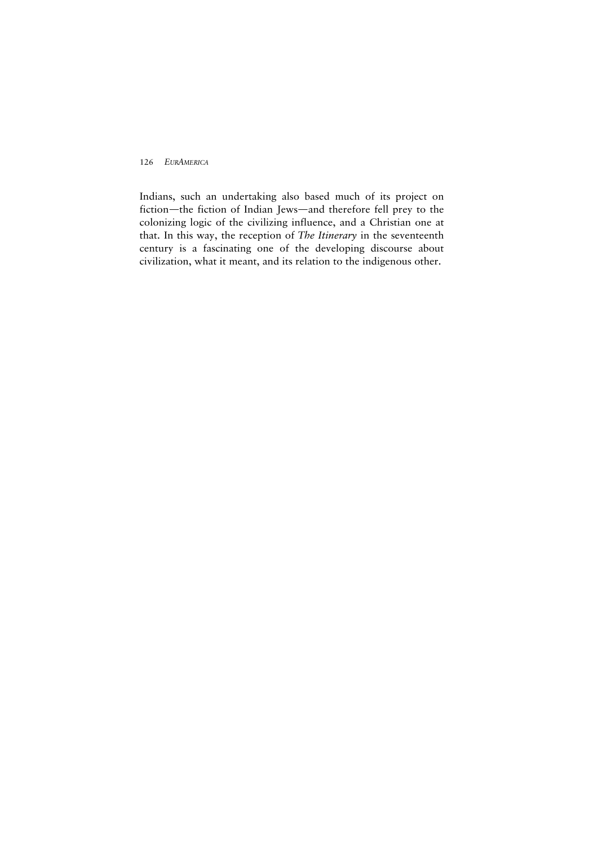Indians, such an undertaking also based much of its project on fiction—the fiction of Indian Jews—and therefore fell prey to the colonizing logic of the civilizing influence, and a Christian one at that. In this way, the reception of *The Itinerary* in the seventeenth century is a fascinating one of the developing discourse about civilization, what it meant, and its relation to the indigenous other.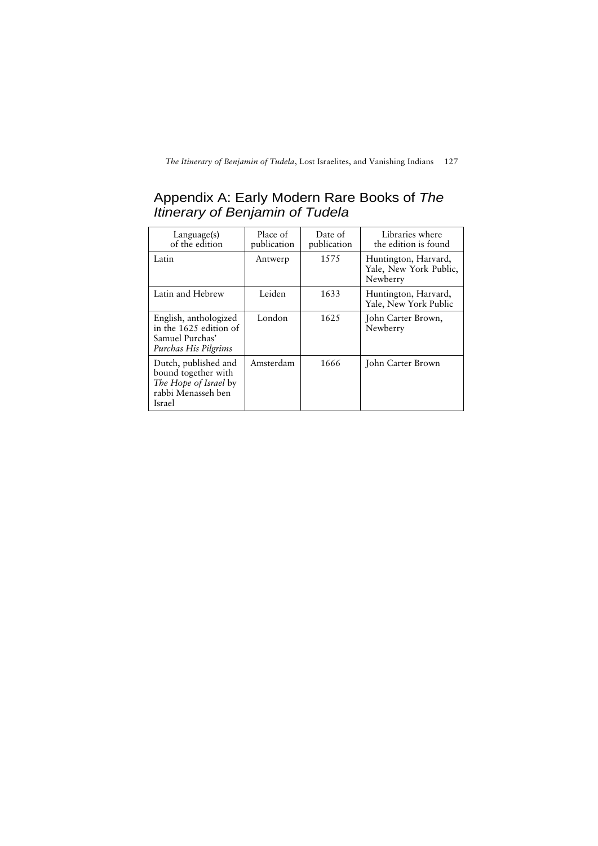# Appendix A: Early Modern Rare Books of *The Itinerary of Benjamin of Tudela*

| Language(s)<br>of the edition                                                                        | Place of<br>publication | Date of<br>publication | Libraries where<br>the edition is found                    |
|------------------------------------------------------------------------------------------------------|-------------------------|------------------------|------------------------------------------------------------|
| Latin                                                                                                | Antwerp                 | 1575                   | Huntington, Harvard,<br>Yale, New York Public,<br>Newberry |
| Latin and Hebrew                                                                                     | Leiden                  | 1633                   | Huntington, Harvard,<br>Yale, New York Public              |
| English, anthologized<br>in the 1625 edition of<br>Samuel Purchas'<br>Purchas His Pilgrims           | London                  | 1625                   | John Carter Brown,<br>Newberry                             |
| Dutch, published and<br>bound together with<br>The Hope of Israel by<br>rabbi Menasseh ben<br>Israel | Amsterdam               | 1666                   | John Carter Brown                                          |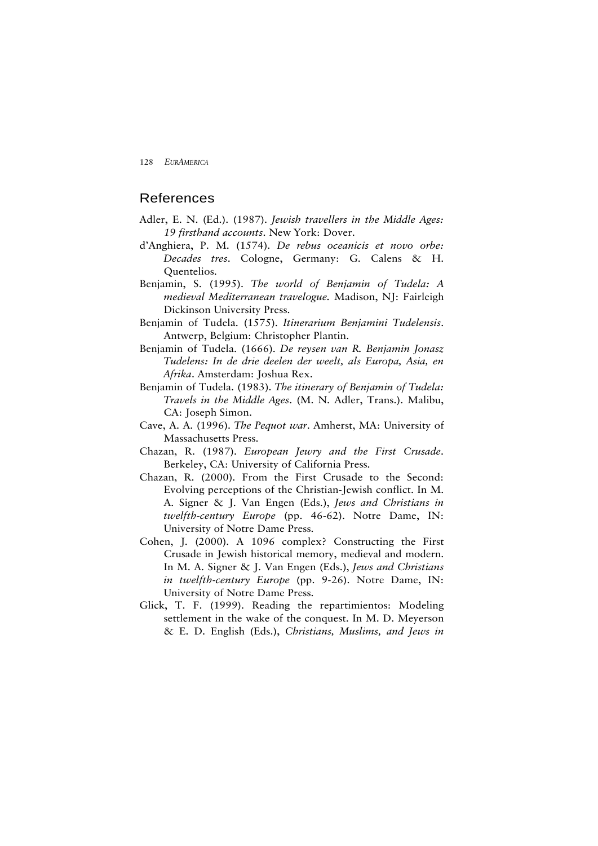## References

- Adler, E. N. (Ed.). (1987). *Jewish travellers in the Middle Ages: 19 firsthand accounts*. New York: Dover.
- d'Anghiera, P. M. (1574). *De rebus oceanicis et novo orbe: Decades tres*. Cologne, Germany: G. Calens & H. Quentelios.
- Benjamin, S. (1995). *The world of Benjamin of Tudela: A medieval Mediterranean travelogue.* Madison, NJ: Fairleigh Dickinson University Press.
- Benjamin of Tudela. (1575). *Itinerarium Benjamini Tudelensis*. Antwerp, Belgium: Christopher Plantin.
- Benjamin of Tudela. (1666). *De reysen van R. Benjamin Jonasz Tudelens: In de drie deelen der weelt, als Europa, Asia, en Afrika*. Amsterdam: Joshua Rex.
- Benjamin of Tudela. (1983). *The itinerary of Benjamin of Tudela: Travels in the Middle Ages*. (M. N. Adler, Trans.). Malibu, CA: Joseph Simon.
- Cave, A. A. (1996). *The Pequot war*. Amherst, MA: University of Massachusetts Press.
- Chazan, R. (1987). *European Jewry and the First Crusade*. Berkeley, CA: University of California Press.
- Chazan, R. (2000). From the First Crusade to the Second: Evolving perceptions of the Christian-Jewish conflict. In M. A. Signer & J. Van Engen (Eds.), *Jews and Christians in twelfth-century Europe* (pp. 46-62). Notre Dame, IN: University of Notre Dame Press.
- Cohen, J. (2000). A 1096 complex? Constructing the First Crusade in Jewish historical memory, medieval and modern. In M. A. Signer & J. Van Engen (Eds.), *Jews and Christians in twelfth-century Europe* (pp. 9-26). Notre Dame, IN: University of Notre Dame Press.
- Glick, T. F. (1999). Reading the repartimientos: Modeling settlement in the wake of the conquest. In M. D. Meyerson & E. D. English (Eds.), *Christians, Muslims, and Jews in*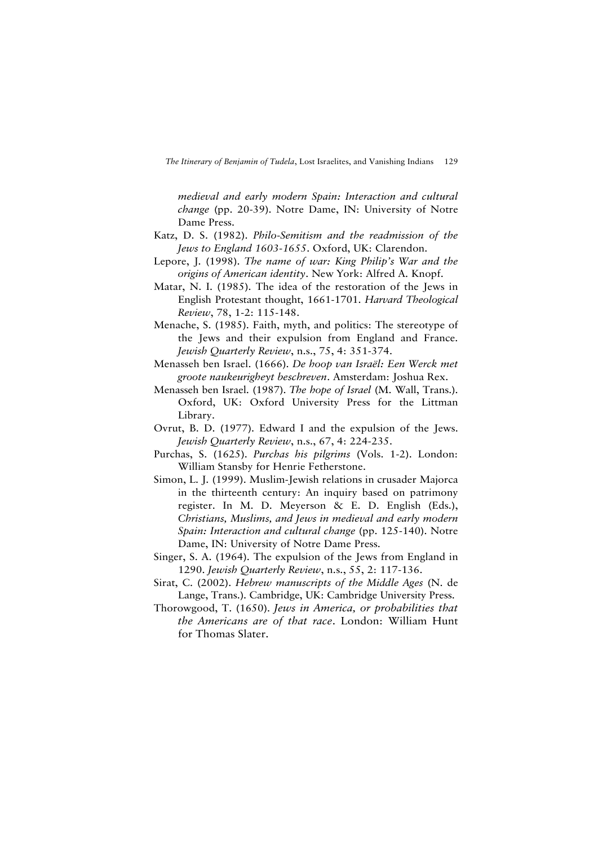*medieval and early modern Spain: Interaction and cultural change* (pp. 20-39). Notre Dame, IN: University of Notre Dame Press.

- Katz, D. S. (1982). *Philo-Semitism and the readmission of the Jews to England 1603-1655*. Oxford, UK: Clarendon.
- Lepore, J. (1998). *The name of war: King Philip's War and the origins of American identity*. New York: Alfred A. Knopf.
- Matar, N. I. (1985). The idea of the restoration of the Jews in English Protestant thought, 1661-1701. *Harvard Theological Review*, 78, 1-2: 115-148.
- Menache, S. (1985). Faith, myth, and politics: The stereotype of the Jews and their expulsion from England and France. *Jewish Quarterly Review*, n.s., 75, 4: 351-374.
- Menasseh ben Israel. (1666). *De hoop van Israël: Een Werck met groote naukeurigheyt beschreven*. Amsterdam: Joshua Rex.
- Menasseh ben Israel. (1987). *The hope of Israel* (M. Wall, Trans.). Oxford, UK: Oxford University Press for the Littman Library.
- Ovrut, B. D. (1977). Edward I and the expulsion of the Jews. *Jewish Quarterly Review*, n.s., 67, 4: 224-235.
- Purchas, S. (1625). *Purchas his pilgrims* (Vols. 1-2). London: William Stansby for Henrie Fetherstone.
- Simon, L. J. (1999). Muslim-Jewish relations in crusader Majorca in the thirteenth century: An inquiry based on patrimony register. In M. D. Meyerson & E. D. English (Eds.), *Christians, Muslims, and Jews in medieval and early modern Spain: Interaction and cultural change* (pp. 125-140). Notre Dame, IN: University of Notre Dame Press.
- Singer, S. A. (1964). The expulsion of the Jews from England in 1290. *Jewish Quarterly Review*, n.s., 55, 2: 117-136.
- Sirat, C. (2002). *Hebrew manuscripts of the Middle Ages* (N. de Lange, Trans.). Cambridge, UK: Cambridge University Press.
- Thorowgood, T. (1650). *Jews in America, or probabilities that the Americans are of that race*. London: William Hunt for Thomas Slater.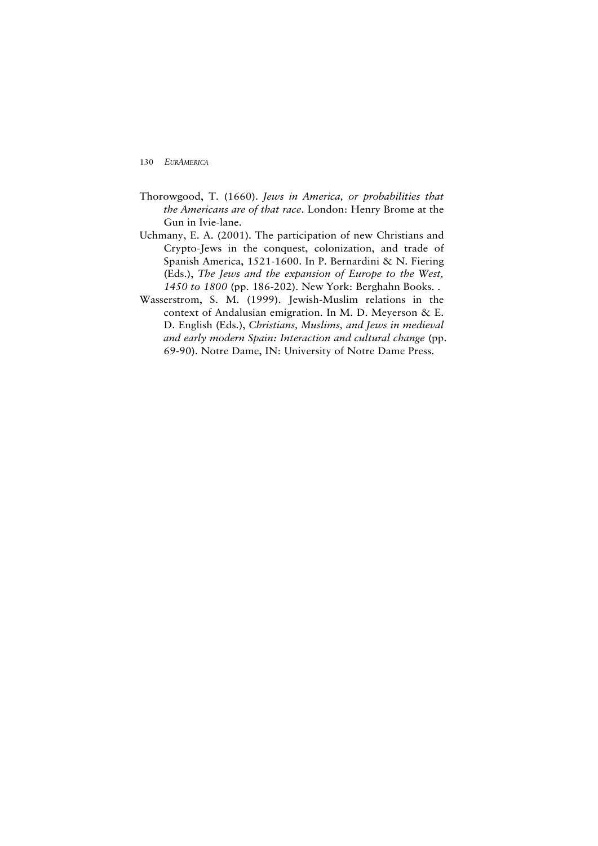- Thorowgood, T. (1660). *Jews in America, or probabilities that the Americans are of that race*. London: Henry Brome at the Gun in Ivie-lane.
- Uchmany, E. A. (2001). The participation of new Christians and Crypto-Jews in the conquest, colonization, and trade of Spanish America, 1521-1600. In P. Bernardini & N. Fiering (Eds.), *The Jews and the expansion of Europe to the West, 1450 to 1800* (pp. 186-202). New York: Berghahn Books. .
- Wasserstrom, S. M. (1999). Jewish-Muslim relations in the context of Andalusian emigration. In M. D. Meyerson & E. D. English (Eds.), *Christians, Muslims, and Jews in medieval and early modern Spain: Interaction and cultural change* (pp. 69-90). Notre Dame, IN: University of Notre Dame Press.